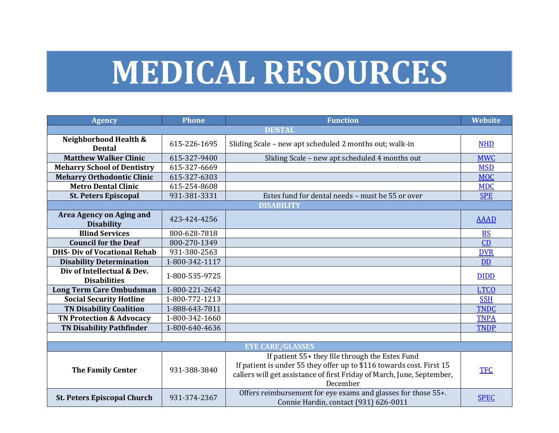## **MEDICAL RESOURCES**

| <b>Agency</b>                                     | Phone          | <b>Function</b>                                                                                                                                                                                               | <b>Website</b> |  |  |
|---------------------------------------------------|----------------|---------------------------------------------------------------------------------------------------------------------------------------------------------------------------------------------------------------|----------------|--|--|
| <b>DENTAL</b>                                     |                |                                                                                                                                                                                                               |                |  |  |
| Neighborhood Health &<br><b>Dental</b>            | 615-226-1695   | Sliding Scale - new apt scheduled 2 months out; walk-in                                                                                                                                                       | <b>NHD</b>     |  |  |
| <b>Matthew Walker Clinic</b>                      | 615-327-9400   | Sliding Scale - new apt scheduled 4 months out                                                                                                                                                                | <b>MWC</b>     |  |  |
| <b>Meharry School of Dentistry</b>                | 615-327-6669   |                                                                                                                                                                                                               | <b>MSD</b>     |  |  |
| <b>Meharry Orthodontic Clinic</b>                 | 615-327-6303   |                                                                                                                                                                                                               | <b>MOC</b>     |  |  |
| <b>Metro Dental Clinic</b>                        | 615-254-8608   |                                                                                                                                                                                                               | <b>MDC</b>     |  |  |
| <b>St. Peters Episcopal</b>                       | 931-381-3331   | Estes fund for dental needs - must be 55 or over                                                                                                                                                              | <b>SPE</b>     |  |  |
|                                                   |                | <b>DISABILITY</b>                                                                                                                                                                                             |                |  |  |
| Area Agency on Aging and<br><b>Disability</b>     | 423-424-4256   |                                                                                                                                                                                                               | <b>AAAD</b>    |  |  |
| <b>Blind Services</b>                             | 800-628-7818   |                                                                                                                                                                                                               | <b>BS</b>      |  |  |
| <b>Council for the Deaf</b>                       | 800-270-1349   |                                                                                                                                                                                                               | CD             |  |  |
| <b>DHS- Div of Vocational Rehab</b>               | 931-380-2563   |                                                                                                                                                                                                               | <b>DVR</b>     |  |  |
| <b>Disability Determination</b>                   | 1-800-342-1117 |                                                                                                                                                                                                               | <b>DD</b>      |  |  |
| Div of Intellectual & Dev.<br><b>Disabilities</b> | 1-800-535-9725 |                                                                                                                                                                                                               | <b>DIDD</b>    |  |  |
| <b>Long Term Care Ombudsman</b>                   | 1-800-221-2642 |                                                                                                                                                                                                               | <b>LTCO</b>    |  |  |
| <b>Social Security Hotline</b>                    | 1-800-772-1213 |                                                                                                                                                                                                               | <b>SSH</b>     |  |  |
| <b>TN Disability Coalition</b>                    | 1-888-643-7811 |                                                                                                                                                                                                               | <b>TNDC</b>    |  |  |
| <b>TN Protection &amp; Advocacy</b>               | 1-800-342-1660 |                                                                                                                                                                                                               | <b>TNPA</b>    |  |  |
| <b>TN Disability Pathfinder</b>                   | 1-800-640-4636 |                                                                                                                                                                                                               | <b>TNDP</b>    |  |  |
|                                                   |                |                                                                                                                                                                                                               |                |  |  |
| <b>EYE CARE/GLASSES</b>                           |                |                                                                                                                                                                                                               |                |  |  |
| <b>The Family Center</b>                          | 931-388-3840   | If patient 55+ they file through the Estes Fund<br>If patient is under 55 they offer up to \$116 towards cost. First 15<br>callers will get assistance of first Friday of March, June, September,<br>December | <b>TFC</b>     |  |  |
| <b>St. Peters Episcopal Church</b>                | 931-374-2367   | Offers reimbursement for eye exams and glasses for those 55+.<br>Connie Hardin, contact (931) 626-0011                                                                                                        | <b>SPEC</b>    |  |  |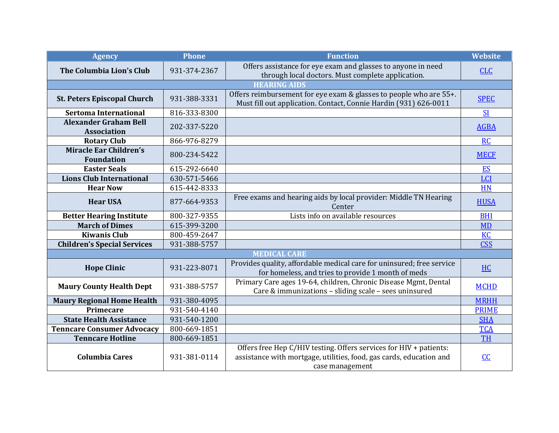| <b>Agency</b>                                      | <b>Phone</b> | <b>Function</b>                                                                                                                                              | <b>Website</b> |  |  |
|----------------------------------------------------|--------------|--------------------------------------------------------------------------------------------------------------------------------------------------------------|----------------|--|--|
| The Columbia Lion's Club                           | 931-374-2367 | Offers assistance for eye exam and glasses to anyone in need<br>through local doctors. Must complete application.                                            | <b>CLC</b>     |  |  |
| <b>HEARING AIDS</b>                                |              |                                                                                                                                                              |                |  |  |
| <b>St. Peters Episcopal Church</b>                 | 931-388-3331 | Offers reimbursement for eye exam & glasses to people who are 55+.<br>Must fill out application. Contact, Connie Hardin (931) 626-0011                       | <b>SPEC</b>    |  |  |
| <b>Sertoma International</b>                       | 816-333-8300 |                                                                                                                                                              | <b>SI</b>      |  |  |
| <b>Alexander Graham Bell</b><br><b>Association</b> | 202-337-5220 |                                                                                                                                                              | <b>AGBA</b>    |  |  |
| <b>Rotary Club</b>                                 | 866-976-8279 |                                                                                                                                                              | <b>RC</b>      |  |  |
| <b>Miracle Ear Children's</b><br><b>Foundation</b> | 800-234-5422 |                                                                                                                                                              | <b>MECF</b>    |  |  |
| <b>Easter Seals</b>                                | 615-292-6640 |                                                                                                                                                              | <b>ES</b>      |  |  |
| <b>Lions Club International</b>                    | 630-571-5466 |                                                                                                                                                              | LCI            |  |  |
| <b>Hear Now</b>                                    | 615-442-8333 |                                                                                                                                                              | <b>HN</b>      |  |  |
| <b>Hear USA</b>                                    | 877-664-9353 | Free exams and hearing aids by local provider: Middle TN Hearing<br>Center                                                                                   | <b>HUSA</b>    |  |  |
| <b>Better Hearing Institute</b>                    | 800-327-9355 | Lists info on available resources                                                                                                                            | <b>BHI</b>     |  |  |
| <b>March of Dimes</b>                              | 615-399-3200 |                                                                                                                                                              | <b>MD</b>      |  |  |
| <b>Kiwanis Club</b>                                | 800-459-2647 |                                                                                                                                                              | <b>KC</b>      |  |  |
| <b>Children's Special Services</b>                 | 931-388-5757 |                                                                                                                                                              | <b>CSS</b>     |  |  |
| <b>MEDICAL CARE</b>                                |              |                                                                                                                                                              |                |  |  |
| <b>Hope Clinic</b>                                 | 931-223-8071 | Provides quality, affordable medical care for uninsured; free service<br>for homeless, and tries to provide 1 month of meds                                  | <b>HC</b>      |  |  |
| <b>Maury County Health Dept</b>                    | 931-388-5757 | Primary Care ages 19-64, children, Chronic Disease Mgmt, Dental<br>Care & immunizations - sliding scale - sees uninsured                                     | <b>MCHD</b>    |  |  |
| <b>Maury Regional Home Health</b>                  | 931-380-4095 |                                                                                                                                                              | <b>MRHH</b>    |  |  |
| Primecare                                          | 931-540-4140 |                                                                                                                                                              | <b>PRIME</b>   |  |  |
| <b>State Health Assistance</b>                     | 931-540-1200 |                                                                                                                                                              | <b>SHA</b>     |  |  |
| <b>Tenncare Consumer Advocacy</b>                  | 800-669-1851 |                                                                                                                                                              | <b>TCA</b>     |  |  |
| <b>Tenncare Hotline</b>                            | 800-669-1851 |                                                                                                                                                              | <b>TH</b>      |  |  |
| <b>Columbia Cares</b>                              | 931-381-0114 | Offers free Hep C/HIV testing. Offers services for HIV + patients:<br>assistance with mortgage, utilities, food, gas cards, education and<br>case management | $CC$           |  |  |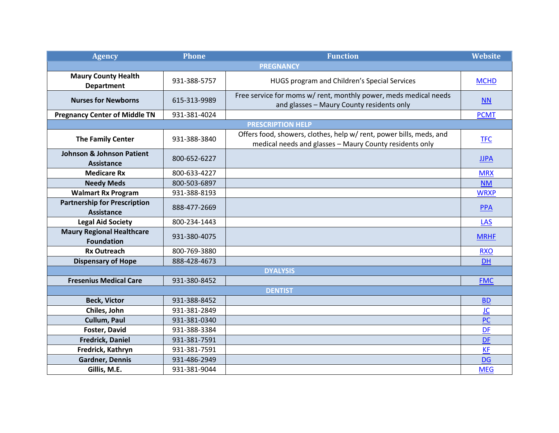| <b>Agency</b>                                             | <b>Phone</b> | <b>Function</b>                                                                                                                | <b>Website</b> |  |  |
|-----------------------------------------------------------|--------------|--------------------------------------------------------------------------------------------------------------------------------|----------------|--|--|
|                                                           |              | <b>PREGNANCY</b>                                                                                                               |                |  |  |
| <b>Maury County Health</b><br><b>Department</b>           | 931-388-5757 | HUGS program and Children's Special Services                                                                                   | <b>MCHD</b>    |  |  |
| <b>Nurses for Newborns</b>                                | 615-313-9989 | Free service for moms w/ rent, monthly power, meds medical needs<br>and glasses - Maury County residents only                  | <b>NN</b>      |  |  |
| <b>Pregnancy Center of Middle TN</b>                      | 931-381-4024 |                                                                                                                                | <b>PCMT</b>    |  |  |
|                                                           |              | <b>PRESCRIPTION HELP</b>                                                                                                       |                |  |  |
| <b>The Family Center</b>                                  | 931-388-3840 | Offers food, showers, clothes, help w/ rent, power bills, meds, and<br>medical needs and glasses - Maury County residents only | <b>TFC</b>     |  |  |
| <b>Johnson &amp; Johnson Patient</b><br><b>Assistance</b> | 800-652-6227 |                                                                                                                                | <b>JJPA</b>    |  |  |
| <b>Medicare Rx</b>                                        | 800-633-4227 |                                                                                                                                | <b>MRX</b>     |  |  |
| <b>Needy Meds</b>                                         | 800-503-6897 |                                                                                                                                | <b>NM</b>      |  |  |
| <b>Walmart Rx Program</b>                                 | 931-388-8193 |                                                                                                                                | <b>WRXP</b>    |  |  |
| <b>Partnership for Prescription</b><br><b>Assistance</b>  | 888-477-2669 |                                                                                                                                | <b>PPA</b>     |  |  |
| <b>Legal Aid Society</b>                                  | 800-234-1443 |                                                                                                                                | LAS            |  |  |
| <b>Maury Regional Healthcare</b><br><b>Foundation</b>     | 931-380-4075 |                                                                                                                                | <b>MRHF</b>    |  |  |
| <b>Rx Outreach</b>                                        | 800-769-3880 |                                                                                                                                | <b>RXO</b>     |  |  |
| <b>Dispensary of Hope</b>                                 | 888-428-4673 |                                                                                                                                | <b>DH</b>      |  |  |
| <b>DYALYSIS</b>                                           |              |                                                                                                                                |                |  |  |
| <b>Fresenius Medical Care</b>                             | 931-380-8452 |                                                                                                                                | <b>FMC</b>     |  |  |
| <b>DENTIST</b>                                            |              |                                                                                                                                |                |  |  |
| <b>Beck, Victor</b>                                       | 931-388-8452 |                                                                                                                                | <b>BD</b>      |  |  |
| Chiles, John                                              | 931-381-2849 |                                                                                                                                | <u>JC</u>      |  |  |
| Cullum, Paul                                              | 931-381-0340 |                                                                                                                                | <b>PC</b>      |  |  |
| Foster, David                                             | 931-388-3384 |                                                                                                                                | <b>DF</b>      |  |  |
| <b>Fredrick, Daniel</b>                                   | 931-381-7591 |                                                                                                                                | <b>DF</b>      |  |  |
| Fredrick, Kathryn                                         | 931-381-7591 |                                                                                                                                | <b>KF</b>      |  |  |
| <b>Gardner, Dennis</b>                                    | 931-486-2949 |                                                                                                                                | <b>DG</b>      |  |  |
| Gillis, M.E.                                              | 931-381-9044 |                                                                                                                                | <b>MEG</b>     |  |  |